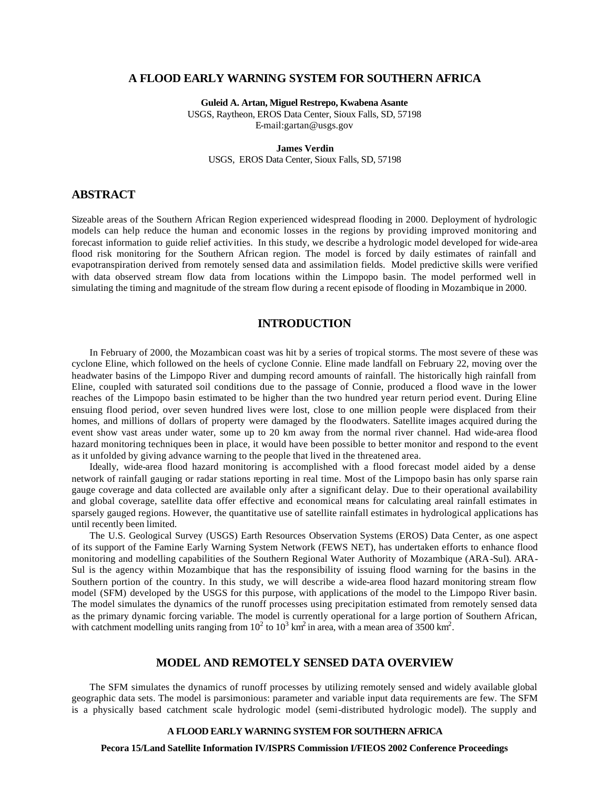# **A FLOOD EARLY WARNING SYSTEM FOR SOUTHERN AFRICA**

**Guleid A. Artan, Miguel Restrepo, Kwabena Asante** USGS, Raytheon, EROS Data Center, Sioux Falls, SD, 57198 E-mail:gartan@usgs.gov

#### **James Verdin**

USGS, EROS Data Center, Sioux Falls, SD, 57198

#### **ABSTRACT**

Sizeable areas of the Southern African Region experienced widespread flooding in 2000. Deployment of hydrologic models can help reduce the human and economic losses in the regions by providing improved monitoring and forecast information to guide relief activities. In this study, we describe a hydrologic model developed for wide-area flood risk monitoring for the Southern African region. The model is forced by daily estimates of rainfall and evapotranspiration derived from remotely sensed data and assimilation fields. Model predictive skills were verified with data observed stream flow data from locations within the Limpopo basin. The model performed well in simulating the timing and magnitude of the stream flow during a recent episode of flooding in Mozambique in 2000.

# **INTRODUCTION**

In February of 2000, the Mozambican coast was hit by a series of tropical storms. The most severe of these was cyclone Eline, which followed on the heels of cyclone Connie. Eline made landfall on February 22, moving over the headwater basins of the Limpopo River and dumping record amounts of rainfall. The historically high rainfall from Eline, coupled with saturated soil conditions due to the passage of Connie, produced a flood wave in the lower reaches of the Limpopo basin estimated to be higher than the two hundred year return period event. During Eline ensuing flood period, over seven hundred lives were lost, close to one million people were displaced from their homes, and millions of dollars of property were damaged by the floodwaters. Satellite images acquired during the event show vast areas under water, some up to 20 km away from the normal river channel. Had wide-area flood hazard monitoring techniques been in place, it would have been possible to better monitor and respond to the event as it unfolded by giving advance warning to the people that lived in the threatened area.

Ideally, wide-area flood hazard monitoring is accomplished with a flood forecast model aided by a dense network of rainfall gauging or radar stations reporting in real time. Most of the Limpopo basin has only sparse rain gauge coverage and data collected are available only after a significant delay. Due to their operational availability and global coverage, satellite data offer effective and economical means for calculating areal rainfall estimates in sparsely gauged regions. However, the quantitative use of satellite rainfall estimates in hydrological applications has until recently been limited.

The U.S. Geological Survey (USGS) Earth Resources Observation Systems (EROS) Data Center, as one aspect of its support of the Famine Early Warning System Network (FEWS NET), has undertaken efforts to enhance flood monitoring and modelling capabilities of the Southern Regional Water Authority of Mozambique (ARA-Sul). ARA-Sul is the agency within Mozambique that has the responsibility of issuing flood warning for the basins in the Southern portion of the country. In this study, we will describe a wide-area flood hazard monitoring stream flow model (SFM) developed by the USGS for this purpose, with applications of the model to the Limpopo River basin. The model simulates the dynamics of the runoff processes using precipitation estimated from remotely sensed data as the primary dynamic forcing variable. The model is currently operational for a large portion of Southern African, with catchment modelling units ranging from  $10^2$  to  $10^3$  km<sup>2</sup> in area, with a mean area of 3500 km<sup>2</sup>.

#### **MODEL AND REMOTELY SENSED DATA OVERVIEW**

The SFM simulates the dynamics of runoff processes by utilizing remotely sensed and widely available global geographic data sets. The model is parsimonious: parameter and variable input data requirements are few. The SFM is a physically based catchment scale hydrologic model (semi-distributed hydrologic model). The supply and

#### **A FLOOD EARLY WARNING SYSTEM FOR SOUTHERN AFRICA**

**Pecora 15/Land Satellite Information IV/ISPRS Commission I/FIEOS 2002 Conference Proceedings**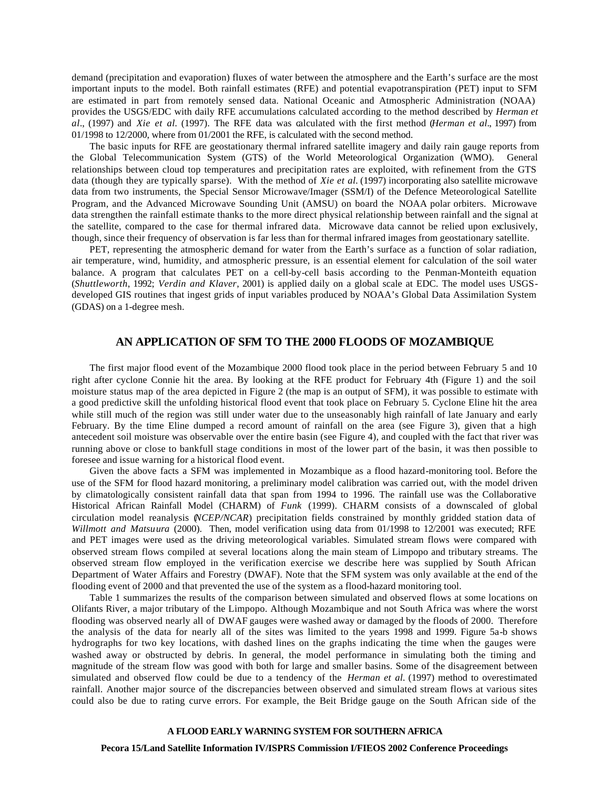demand (precipitation and evaporation) fluxes of water between the atmosphere and the Earth's surface are the most important inputs to the model. Both rainfall estimates (RFE) and potential evapotranspiration (PET) input to SFM are estimated in part from remotely sensed data. National Oceanic and Atmospheric Administration (NOAA) provides the USGS/EDC with daily RFE accumulations calculated according to the method described by *Herman et al.*, (1997) and *Xie et al.* (1997). The RFE data was calculated with the first method (*Herman et al.*, 1997) from 01/1998 to 12/2000, where from 01/2001 the RFE, is calculated with the second method.

The basic inputs for RFE are geostationary thermal infrared satellite imagery and daily rain gauge reports from the Global Telecommunication System (GTS) of the World Meteorological Organization (WMO). General relationships between cloud top temperatures and precipitation rates are exploited, with refinement from the GTS data (though they are typically sparse). With the method of *Xie et al.* (1997) incorporating also satellite microwave data from two instruments, the Special Sensor Microwave/Imager (SSM/I) of the Defence Meteorological Satellite Program, and the Advanced Microwave Sounding Unit (AMSU) on board the NOAA polar orbiters. Microwave data strengthen the rainfall estimate thanks to the more direct physical relationship between rainfall and the signal at the satellite, compared to the case for thermal infrared data. Microwave data cannot be relied upon exclusively, though, since their frequency of observation is far less than for thermal infrared images from geostationary satellite.

PET, representing the atmospheric demand for water from the Earth's surface as a function of solar radiation, air temperature, wind, humidity, and atmospheric pressure, is an essential element for calculation of the soil water balance. A program that calculates PET on a cell-by-cell basis according to the Penman-Monteith equation (*Shuttleworth*, 1992; *Verdin and Klaver*, 2001) is applied daily on a global scale at EDC. The model uses USGSdeveloped GIS routines that ingest grids of input variables produced by NOAA's Global Data Assimilation System (GDAS) on a 1-degree mesh.

# **AN APPLICATION OF SFM TO THE 2000 FLOODS OF MOZAMBIQUE**

The first major flood event of the Mozambique 2000 flood took place in the period between February 5 and 10 right after cyclone Connie hit the area. By looking at the RFE product for February 4th (Figure 1) and the soil moisture status map of the area depicted in Figure 2 (the map is an output of SFM), it was possible to estimate with a good predictive skill the unfolding historical flood event that took place on February 5. Cyclone Eline hit the area while still much of the region was still under water due to the unseasonably high rainfall of late January and early February. By the time Eline dumped a record amount of rainfall on the area (see Figure 3), given that a high antecedent soil moisture was observable over the entire basin (see Figure 4), and coupled with the fact that river was running above or close to bankfull stage conditions in most of the lower part of the basin, it was then possible to foresee and issue warning for a historical flood event.

Given the above facts a SFM was implemented in Mozambique as a flood hazard-monitoring tool. Before the use of the SFM for flood hazard monitoring, a preliminary model calibration was carried out, with the model driven by climatologically consistent rainfall data that span from 1994 to 1996. The rainfall use was the Collaborative Historical African Rainfall Model (CHARM) of *Funk* (1999). CHARM consists of a downscaled of global circulation model reanalysis (*NCEP/NCAR*) precipitation fields constrained by monthly gridded station data of *Willmott and Matsuura* (2000). Then, model verification using data from 01/1998 to 12/2001 was executed; RFE and PET images were used as the driving meteorological variables. Simulated stream flows were compared with observed stream flows compiled at several locations along the main steam of Limpopo and tributary streams. The observed stream flow employed in the verification exercise we describe here was supplied by South African Department of Water Affairs and Forestry (DWAF). Note that the SFM system was only available at the end of the flooding event of 2000 and that prevented the use of the system as a flood-hazard monitoring tool.

Table 1 summarizes the results of the comparison between simulated and observed flows at some locations on Olifants River, a major tributary of the Limpopo. Although Mozambique and not South Africa was where the worst flooding was observed nearly all of DWAF gauges were washed away or damaged by the floods of 2000. Therefore the analysis of the data for nearly all of the sites was limited to the years 1998 and 1999. Figure 5a-b shows hydrographs for two key locations, with dashed lines on the graphs indicating the time when the gauges were washed away or obstructed by debris. In general, the model performance in simulating both the timing and magnitude of the stream flow was good with both for large and smaller basins. Some of the disagreement between simulated and observed flow could be due to a tendency of the *Herman et al.* (1997) method to overestimated rainfall. Another major source of the discrepancies between observed and simulated stream flows at various sites could also be due to rating curve errors. For example, the Beit Bridge gauge on the South African side of the

#### **A FLOOD EARLY WARNING SYSTEM FOR SOUTHERN AFRICA**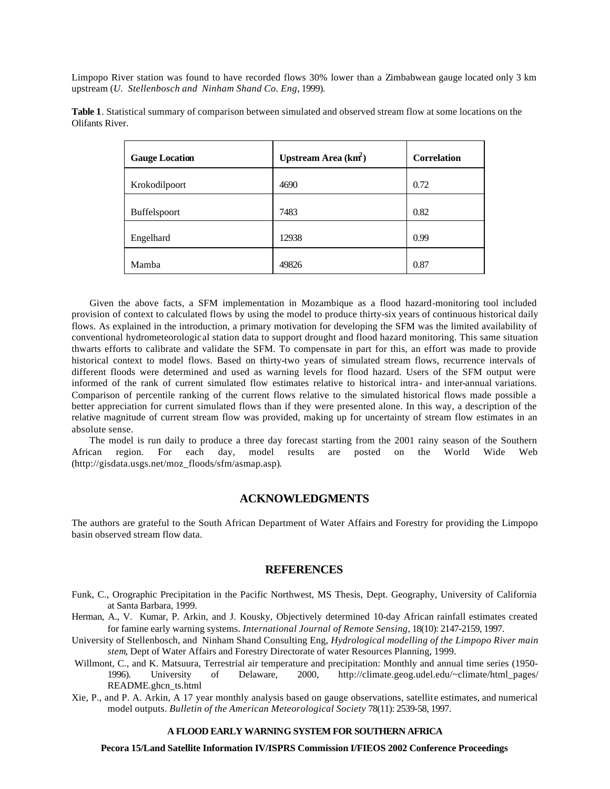Limpopo River station was found to have recorded flows 30% lower than a Zimbabwean gauge located only 3 km upstream (*U. Stellenbosch and Ninham Shand Co. Eng*, 1999).

| <b>Gauge Location</b> | Upstream Area $(km^2)$ | <b>Correlation</b> |
|-----------------------|------------------------|--------------------|
| Krokodilpoort         | 4690                   | 0.72               |
| Buffelspoort          | 7483                   | 0.82               |
| Engelhard             | 12938                  | 0.99               |
| Mamba                 | 49826                  | 0.87               |

**Table 1**. Statistical summary of comparison between simulated and observed stream flow at some locations on the Olifants River.

Given the above facts, a SFM implementation in Mozambique as a flood hazard-monitoring tool included provision of context to calculated flows by using the model to produce thirty-six years of continuous historical daily flows. As explained in the introduction, a primary motivation for developing the SFM was the limited availability of conventional hydrometeorological station data to support drought and flood hazard monitoring. This same situation thwarts efforts to calibrate and validate the SFM. To compensate in part for this, an effort was made to provide historical context to model flows. Based on thirty-two years of simulated stream flows, recurrence intervals of different floods were determined and used as warning levels for flood hazard. Users of the SFM output were informed of the rank of current simulated flow estimates relative to historical intra- and inter-annual variations. Comparison of percentile ranking of the current flows relative to the simulated historical flows made possible a better appreciation for current simulated flows than if they were presented alone. In this way, a description of the relative magnitude of current stream flow was provided, making up for uncertainty of stream flow estimates in an absolute sense.

The model is run daily to produce a three day forecast starting from the 2001 rainy season of the Southern African region. For each day, model results are posted on the World Wide Web (http://gisdata.usgs.net/moz\_floods/sfm/asmap.asp).

# **ACKNOWLEDGMENTS**

The authors are grateful to the South African Department of Water Affairs and Forestry for providing the Limpopo basin observed stream flow data.

# **REFERENCES**

- Funk, C., Orographic Precipitation in the Pacific Northwest, MS Thesis, Dept. Geography, University of California at Santa Barbara, 1999.
- Herman, A., V. Kumar, P. Arkin, and J. Kousky, Objectively determined 10-day African rainfall estimates created for famine early warning systems. *International Journal of Remote Sensing*, 18(10): 2147-2159, 1997.
- University of Stellenbosch, and Ninham Shand Consulting Eng, *Hydrological modelling of the Limpopo River main stem*, Dept of Water Affairs and Forestry Directorate of water Resources Planning, 1999.
- Willmont, C., and K. Matsuura, Terrestrial air temperature and precipitation: Monthly and annual time series (1950-1996). University of Delaware, 2000, http://climate.geog.udel.edu/~climate/html\_pages/ README.ghcn\_ts.html
- Xie, P., and P. A. Arkin, A 17 year monthly analysis based on gauge observations, satellite estimates, and numerical model outputs. *Bulletin of the American Meteorological Society* 78(11): 2539-58, 1997.

#### **A FLOOD EARLY WARNING SYSTEM FOR SOUTHERN AFRICA**

**Pecora 15/Land Satellite Information IV/ISPRS Commission I/FIEOS 2002 Conference Proceedings**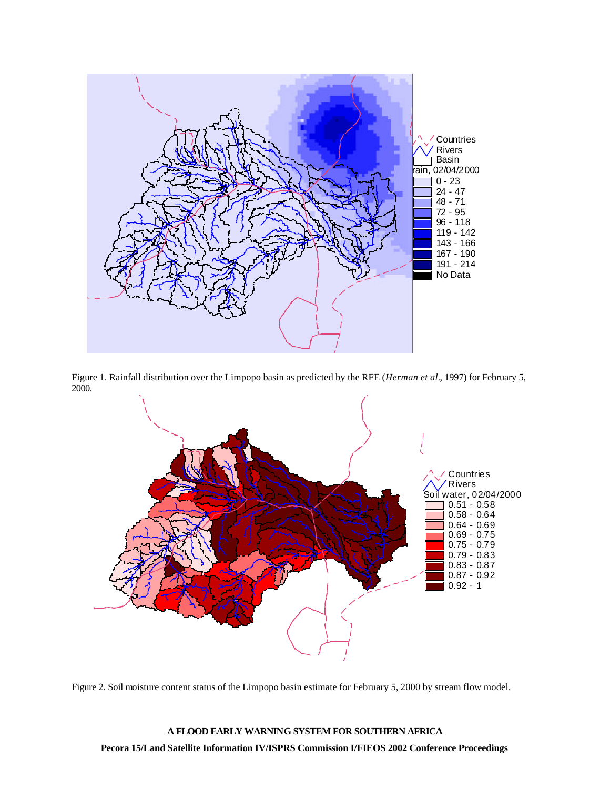

Figure 1. Rainfall distribution over the Limpopo basin as predicted by the RFE (*Herman et al.*, 1997) for February 5, 2000.



Figure 2. Soil moisture content status of the Limpopo basin estimate for February 5, 2000 by stream flow model.

**A FLOOD EARLY WARNING SYSTEM FOR SOUTHERN AFRICA Pecora 15/Land Satellite Information IV/ISPRS Commission I/FIEOS 2002 Conference Proceedings**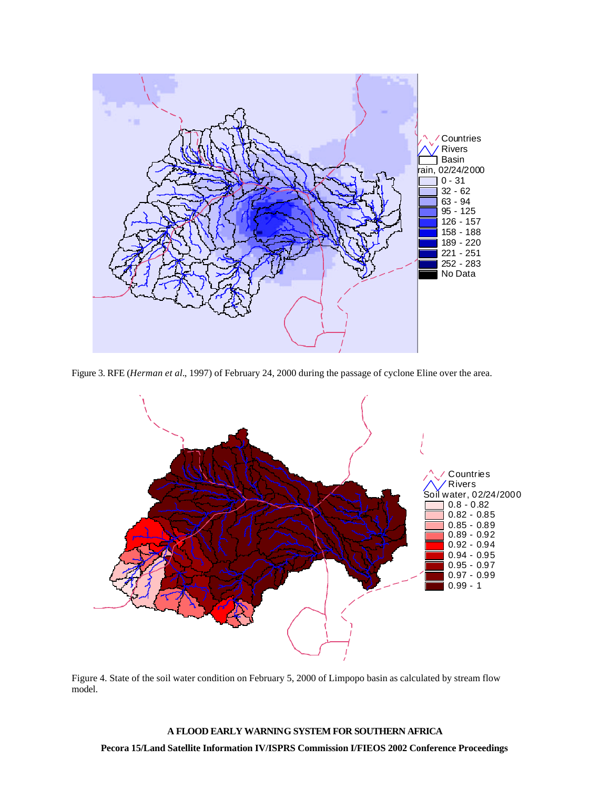

Figure 3. RFE (*Herman et al.*, 1997) of February 24, 2000 during the passage of cyclone Eline over the area.



Figure 4. State of the soil water condition on February 5, 2000 of Limpopo basin as calculated by stream flow model.

# **A FLOOD EARLY WARNING SYSTEM FOR SOUTHERN AFRICA Pecora 15/Land Satellite Information IV/ISPRS Commission I/FIEOS 2002 Conference Proceedings**